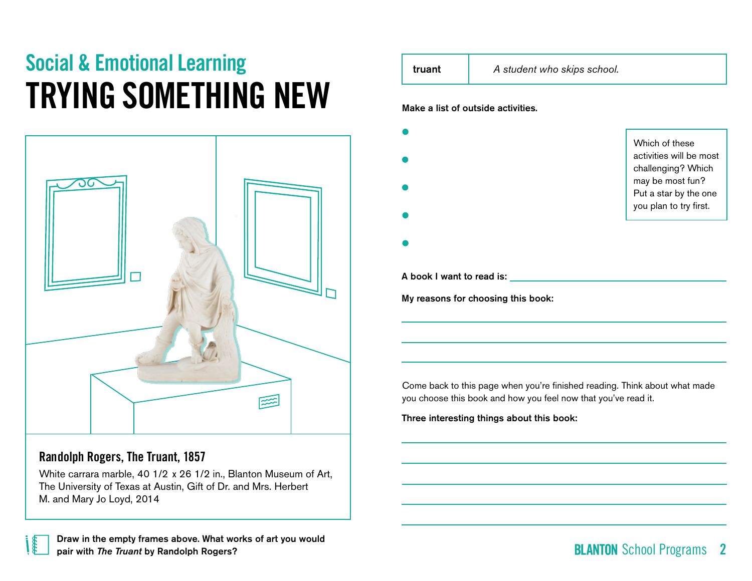# Social & Emotional Learning TRYING SOMETHING NEW



## Randolph Rogers, **The Truant**, 1857

White carrara marble, 40 1/2 x 26 1/2 in., Blanton Museum of Art, The University of Texas at Austin, Gift of Dr. and Mrs. Herbert M. and Mary Jo Loyd, 2014

| Which of these<br>activities will be most<br>challenging? Which<br>may be most fun?<br>Put a star by the one<br>you plan to try first. |
|----------------------------------------------------------------------------------------------------------------------------------------|
|                                                                                                                                        |
|                                                                                                                                        |
|                                                                                                                                        |
|                                                                                                                                        |
|                                                                                                                                        |
|                                                                                                                                        |
|                                                                                                                                        |
|                                                                                                                                        |
|                                                                                                                                        |
|                                                                                                                                        |
|                                                                                                                                        |

# School Programs 2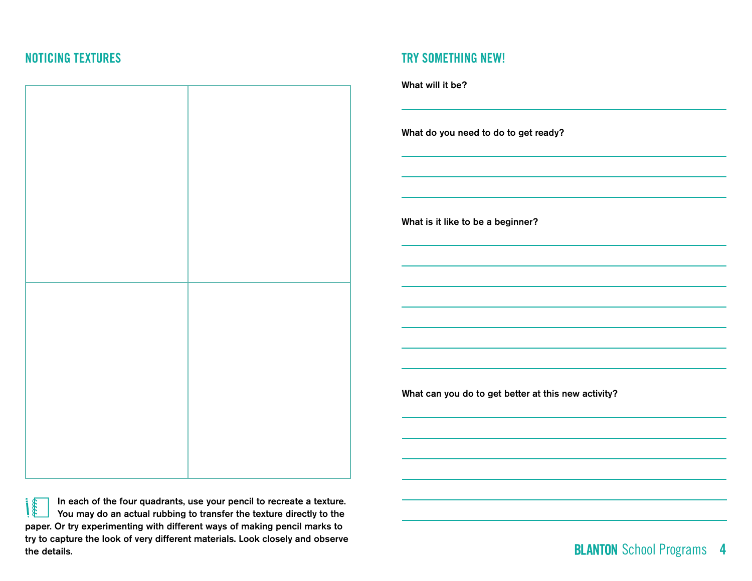

In each of the four quadrants, use your pencil to recreate a texture. **Cooks** You may do an actual rubbing to transfer the texture directly to the paper. Or try experimenting with different ways of making pencil marks to try to capture the look of very different materials. Look closely and observe the details.

## NOTICING TEXTURES TRY SOMETHING NEW!



What can you do to get better at this new activity?

**BLANTON** School Programs 4